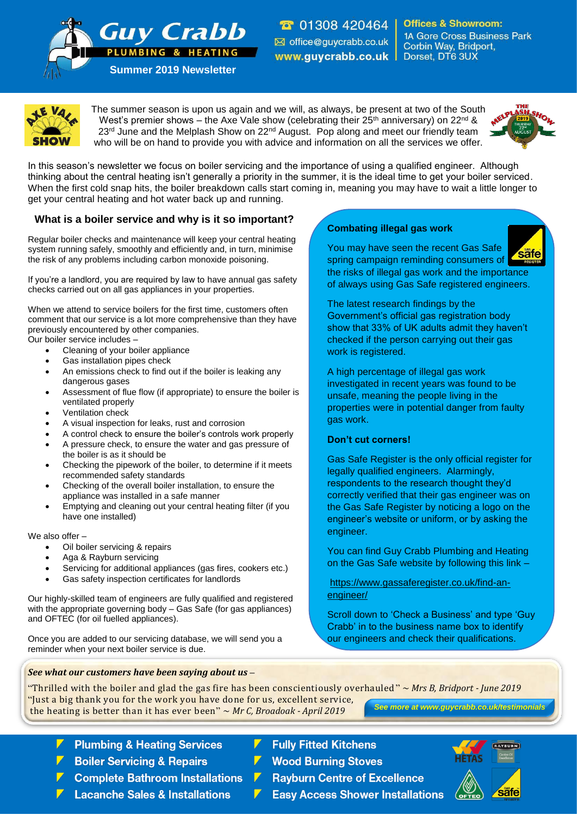**T** 01308 420464 office@guycrabb.co.uk www.guycrabb.co.uk |

**Offices & Showroom: 1A Gore Cross Business Park** Corbin Way, Bridport, Dorset, DT6 3UX



The summer season is upon us again and we will, as always, be present at two of the South West's premier shows – the Axe Vale show (celebrating their  $25<sup>th</sup>$  anniversary) on  $22<sup>nd</sup>$  & 23<sup>rd</sup> June and the Melplash Show on 22<sup>nd</sup> August. Pop along and meet our friendly team who will be on hand to provide you with advice and information on all the services we offer.



In this season's newsletter we focus on boiler servicing and the importance of using a qualified engineer. Although thinking about the central heating isn't generally a priority in the summer, it is the ideal time to get your boiler serviced. When the first cold snap hits, the boiler breakdown calls start coming in, meaning you may have to wait a little longer to get your central heating and hot water back up and running.

## **What is a boiler service and why is it so important?**

**Summer 2019 Newsletter**

PLUMBING & HEATING

**Guy Crabb** 

Regular boiler checks and maintenance will keep your central heating system running safely, smoothly and efficiently and, in turn, minimise the risk of any problems including carbon monoxide poisoning.

If you're a landlord, you are required by law to have annual gas safety checks carried out on all gas appliances in your properties.

When we attend to service boilers for the first time, customers often comment that our service is a lot more comprehensive than they have previously encountered by other companies. Our boiler service includes –

- Cleaning of your boiler appliance
- Gas installation pipes check
- An emissions check to find out if the boiler is leaking any dangerous gases
- Assessment of flue flow (if appropriate) to ensure the boiler is ventilated properly
- Ventilation check
- A visual inspection for leaks, rust and corrosion
- A control check to ensure the boiler's controls work properly
- A pressure check, to ensure the water and gas pressure of the boiler is as it should be
- Checking the pipework of the boiler, to determine if it meets recommended safety standards
- Checking of the overall boiler installation, to ensure the appliance was installed in a safe manner
- Emptying and cleaning out your central heating filter (if you have one installed)

We also offer –

- Oil boiler servicing & repairs
- Aga & Rayburn servicing
- Servicing for additional appliances (gas fires, cookers etc.)
- Gas safety inspection certificates for landlords

Our highly-skilled team of engineers are fully qualified and registered with the appropriate governing body – Gas Safe (for gas appliances) and OFTEC (for oil fuelled appliances).

Once you are added to our servicing database, we will send you a reminder when your next boiler service is due.

# **Combating illegal gas work**

You may have seen the recent Gas Safe spring campaign reminding consumers of the risks of illegal gas work and the importance of always using Gas Safe registered engineers.



The latest research findings by the Government's official gas registration body show that 33% of UK adults admit they haven't checked if the person carrying out their gas work is registered.

A high percentage of illegal gas work investigated in recent years was found to be unsafe, meaning the people living in the properties were in potential danger from faulty gas work.

#### **Don't cut corners!**

Gas Safe Register is the only official register for legally qualified engineers. Alarmingly, respondents to the research thought they'd correctly verified that their gas engineer was on the Gas Safe Register by noticing a logo on the engineer's website or uniform, or by asking the engineer.

You can find Guy Crabb Plumbing and Heating on the Gas Safe website by following this link –

[https://www.gassaferegister.co.uk/find-an](https://www.gassaferegister.co.uk/find-an-engineer/)[engineer/](https://www.gassaferegister.co.uk/find-an-engineer/)

Scroll down to 'Check a Business' and type 'Guy Crabb' in to the business name box to identify our engineers and check their qualifications.

"Thrilled with the boiler and glad the gas fire has been conscientiously overhauled" ~ *Mrs B, Bridport - June 2019* "Just a big thank you for the work you have done for us, excellent service, the heating is better than it has ever been" ~ *Mr C, Broadoak - April 2019 See more at www.guycrabb.co.uk/testimonials*

**Plumbing & Heating Services** 

*See what our customers have been saying about us –*

- **Boiler Servicing & Repairs**
- **Complete Bathroom Installations**
- **Lacanche Sales & Installations**
- **Fully Fitted Kitchens**
- **Wood Burning Stoves**
- **Rayburn Centre of Excellence**
- **Easy Access Shower Installations**



RAYBURN